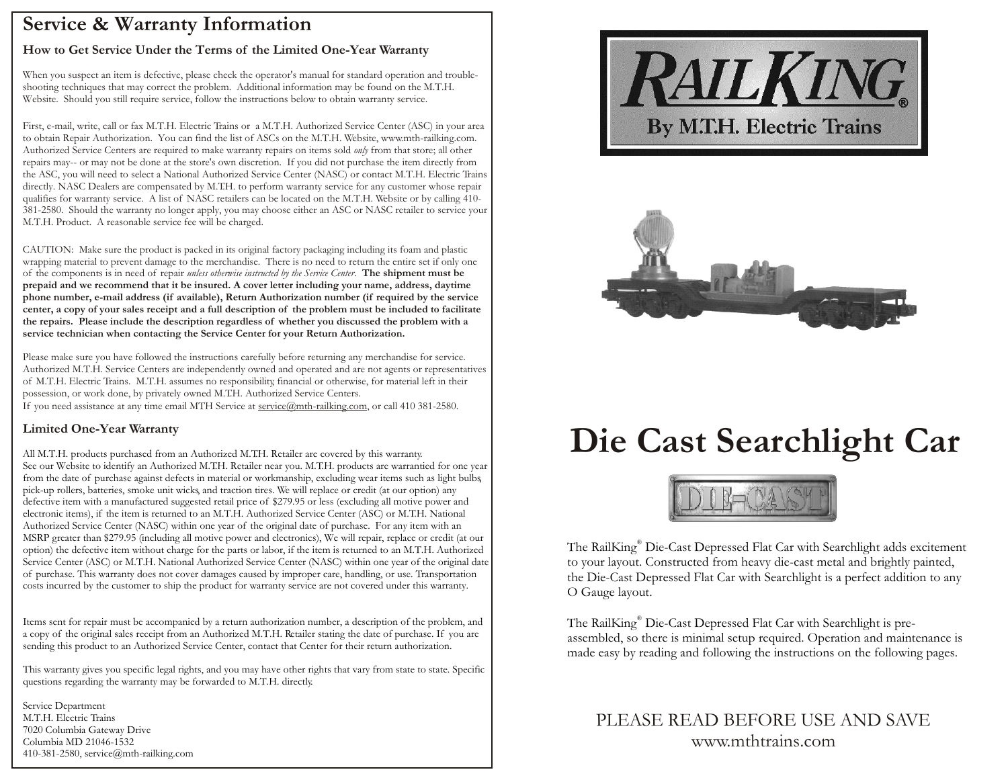### **Service & Warranty Information**

#### **How to Get Service Under the Terms of the Limited One-Year Warranty**

When you suspect an item is defective, please check the operator's manual for standard operation and troubleshooting techniques that may correct the problem. Additional information may be found on the M.T.H. Website. Should you still require service, follow the instructions below to obtain warranty service.

First, e-mail, write, call or fax M.T.H. Electric Trains or a M.T.H. Authorized Service Center (ASC) in your area to obtain Repair Authorization. You can find the list of ASCs on the M.T.H. Website, www.mth-railking.com. Authorized Service Centers are required to make warranty repairs on items sold *only* from that store; all other repairs may-- or may not be done at the store's own discretion. If you did not purchase the item directly from the ASC, you will need to select a National Authorized Service Center (NASC) or contact M.T.H. Electric Trains directly. NASC Dealers are compensated by M.T.H. to perform warranty service for any customer whose repair qualifies for warranty service. A list of NASC retailers can be located on the M.T.H. Website or by calling 410- 381-2580. Should the warranty no longer apply, you may choose either an ASC or NASC retailer to service your M.T.H. Product. A reasonable service fee will be charged.

CAUTION: Make sure the product is packed in its original factory packaging including its foam and plastic wrapping material to prevent damage to the merchandise. There is no need to return the entire set if only one of the components is in need of repair *unless otherwise instructed by the Service Center*. **The shipment must be prepaid and we recommend that it be insured. A cover letter including your name, address, daytime phone number, e-mail address (if available), Return Authorization number (if required by the service center, a copy of your sales receipt and a full description of the problem must be included to facilitate the repairs. Please include the description regardless of whether you discussed the problem with a service technician when contacting the Service Center for your Return Authorization.**

Please make sure you have followed the instructions carefully before returning any merchandise for service. Authorized M.T.H. Service Centers are independently owned and operated and are not agents or representatives of M.T.H. Electric Trains. M.T.H. assumes no responsibility, financial or otherwise, for material left in their possession, or work done, by privately owned M.T.H. Authorized Service Centers. If you need assistance at any time email MTH Service at service@mth-railking.com, or call 410 381-2580.

#### **Limited One-Year Warranty**

All M.T.H. products purchased from an Authorized M.T.H. Retailer are covered by this warranty. See our Website to identify an Authorized M.T.H. Retailer near you. M.T.H. products are warrantied for one year from the date of purchase against defects in material or workmanship, excluding wear items such as light bulbs, pick-up rollers, batteries, smoke unit wicks, and traction tires. We will replace or credit (at our option) any defective item with a manufactured suggested retail price of \$279.95 or less (excluding all motive power and electronic items), if the item is returned to an M.T.H. Authorized Service Center (ASC) or M.T.H. National Authorized Service Center (NASC) within one year of the original date of purchase. For any item with an MSRP greater than \$279.95 (including all motive power and electronics), We will repair, replace or credit (at our option) the defective item without charge for the parts or labor, if the item is returned to an M.T.H. Authorized Service Center (ASC) or M.T.H. National Authorized Service Center (NASC) within one year of the original date of purchase. This warranty does not cover damages caused by improper care, handling, or use. Transportation costs incurred by the customer to ship the product for warranty service are not covered under this warranty.

Items sent for repair must be accompanied by a return authorization number, a description of the problem, and a copy of the original sales receipt from an Authorized M.T.H. Retailer stating the date of purchase. If you are sending this product to an Authorized Service Center, contact that Center for their return authorization.

This warranty gives you specific legal rights, and you may have other rights that vary from state to state. Specific questions regarding the warranty may be forwarded to M.T.H. directly.

Service Department M.T.H. Electric Trains 7020 Columbia Gateway Drive Columbia MD 21046-1532 410-381-2580, service@mth-railking.com





# **Die Cast Searchlight Car**



The RailKing® Die-Cast Depressed Flat Car with Searchlight adds excitement to your layout. Constructed from heavy die-cast metal and brightly painted, the Die-Cast Depressed Flat Car with Searchlight is a perfect addition to any O Gauge layout.

The RailKing® Die-Cast Depressed Flat Car with Searchlight is preassembled, so there is minimal setup required. Operation and maintenance is made easy by reading and following the instructions on the following pages.

PLEASE READ BEFORE USE AND SAVE www.mthtrains.com